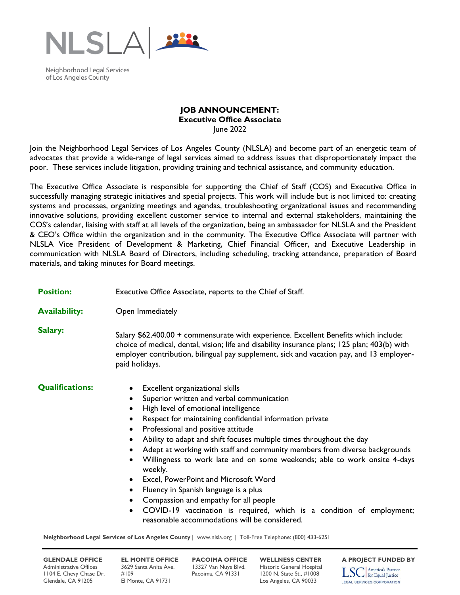

Neighborhood Legal Services of Los Angeles County

## **JOB ANNOUNCEMENT: Executive Office Associate** June 2022

Join the Neighborhood Legal Services of Los Angeles County (NLSLA) and become part of an energetic team of advocates that provide a wide-range of legal services aimed to address issues that disproportionately impact the poor. These services include litigation, providing training and technical assistance, and community education.

The Executive Office Associate is responsible for supporting the Chief of Staff (COS) and Executive Office in successfully managing strategic initiatives and special projects. This work will include but is not limited to: creating systems and processes, organizing meetings and agendas, troubleshooting organizational issues and recommending innovative solutions, providing excellent customer service to internal and external stakeholders, maintaining the COS's calendar, liaising with staff at all levels of the organization, being an ambassador for NLSLA and the President & CEO's Office within the organization and in the community. The Executive Office Associate will partner with NLSLA Vice President of Development & Marketing, Chief Financial Officer, and Executive Leadership in communication with NLSLA Board of Directors, including scheduling, tracking attendance, preparation of Board materials, and taking minutes for Board meetings.

| <b>Position:</b>                                                                                        | Executive Office Associate, reports to the Chief of Staff.                                                                                                                                                                                                                                                                                                                                                                                                                                                                                                                                                                                                                                                                                                                        |
|---------------------------------------------------------------------------------------------------------|-----------------------------------------------------------------------------------------------------------------------------------------------------------------------------------------------------------------------------------------------------------------------------------------------------------------------------------------------------------------------------------------------------------------------------------------------------------------------------------------------------------------------------------------------------------------------------------------------------------------------------------------------------------------------------------------------------------------------------------------------------------------------------------|
| <b>Availability:</b>                                                                                    | Open Immediately                                                                                                                                                                                                                                                                                                                                                                                                                                                                                                                                                                                                                                                                                                                                                                  |
| Salary:                                                                                                 | Salary \$62,400.00 + commensurate with experience. Excellent Benefits which include:<br>choice of medical, dental, vision; life and disability insurance plans; 125 plan; 403(b) with<br>employer contribution, bilingual pay supplement, sick and vacation pay, and 13 employer-<br>paid holidays.                                                                                                                                                                                                                                                                                                                                                                                                                                                                               |
| <b>Qualifications:</b>                                                                                  | Excellent organizational skills<br>Superior written and verbal communication<br>$\bullet$<br>High level of emotional intelligence<br>Respect for maintaining confidential information private<br>Professional and positive attitude<br>$\bullet$<br>Ability to adapt and shift focuses multiple times throughout the day<br>Adept at working with staff and community members from diverse backgrounds<br>Willingness to work late and on some weekends; able to work onsite 4-days<br>weekly.<br>Excel, PowerPoint and Microsoft Word<br>$\bullet$<br>Fluency in Spanish language is a plus<br>٠<br>Compassion and empathy for all people<br>COVID-19 vaccination is required, which is a condition of employment;<br>$\bullet$<br>reasonable accommodations will be considered. |
| Neighborhood Legal Services of Los Angeles County   www.nlsla.org   Toll-Free Telephone: (800) 433-6251 |                                                                                                                                                                                                                                                                                                                                                                                                                                                                                                                                                                                                                                                                                                                                                                                   |

Administrative Offices 3629 Santa Anita Ave. 13327 Van Nuys Blvd. Historic General Hospital<br>1104 E. Chevy Chase Dr. #109 Pacoima, CA 91331 1200 N. State St., #1008 1104 E. Chevy Chase Dr. #109 Pacoima, CA 91331 1200 N. State St., #1008 Glendale, CA 91205 El Monte, CA 91731 Los Angeles, CA 90033

**GLENDALE OFFICE EL MONTE OFFICE PACOIMA OFFICE WELLNESS CENTER** A PROJECT FUNDED BY<br>Administrative Offices 3629 Santa Anita Ave. 13327 Van Nuys Blvd. Historic General Hospital **Trangel America's Partner** America's Partner